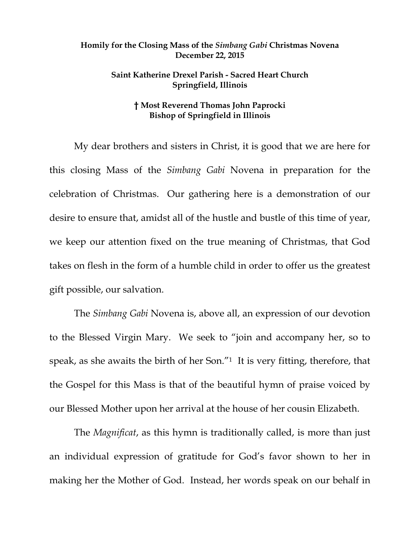## **Homily for the Closing Mass of the** *Simbang Gabi* **Christmas Novena December 22, 2015**

## **Saint Katherine Drexel Parish - Sacred Heart Church Springfield, Illinois**

## **† Most Reverend Thomas John Paprocki Bishop of Springfield in Illinois**

My dear brothers and sisters in Christ, it is good that we are here for this closing Mass of the *Simbang Gabi* Novena in preparation for the celebration of Christmas. Our gathering here is a demonstration of our desire to ensure that, amidst all of the hustle and bustle of this time of year, we keep our attention fixed on the true meaning of Christmas, that God takes on flesh in the form of a humble child in order to offer us the greatest gift possible, our salvation.

The *Simbang Gabi* Novena is, above all, an expression of our devotion to the Blessed Virgin Mary. We seek to "join and accompany her, so to speak, as she awaits the birth of her Son."1 It is very fitting, therefore, that the Gospel for this Mass is that of the beautiful hymn of praise voiced by our Blessed Mother upon her arrival at the house of her cousin Elizabeth.

The *Magnificat*, as this hymn is traditionally called, is more than just an individual expression of gratitude for God's favor shown to her in making her the Mother of God. Instead, her words speak on our behalf in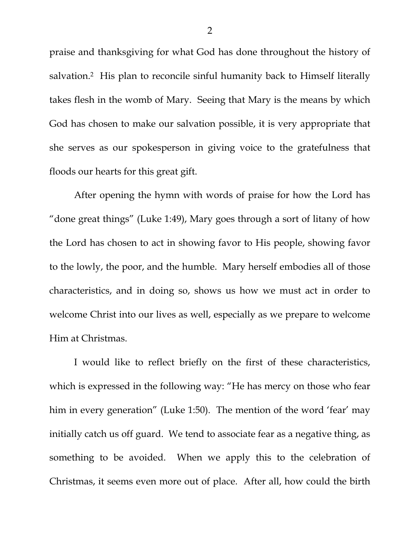praise and thanksgiving for what God has done throughout the history of salvation.2 His plan to reconcile sinful humanity back to Himself literally takes flesh in the womb of Mary. Seeing that Mary is the means by which God has chosen to make our salvation possible, it is very appropriate that she serves as our spokesperson in giving voice to the gratefulness that floods our hearts for this great gift.

After opening the hymn with words of praise for how the Lord has "done great things" (Luke 1:49), Mary goes through a sort of litany of how the Lord has chosen to act in showing favor to His people, showing favor to the lowly, the poor, and the humble. Mary herself embodies all of those characteristics, and in doing so, shows us how we must act in order to welcome Christ into our lives as well, especially as we prepare to welcome Him at Christmas.

I would like to reflect briefly on the first of these characteristics, which is expressed in the following way: "He has mercy on those who fear him in every generation" (Luke 1:50). The mention of the word 'fear' may initially catch us off guard. We tend to associate fear as a negative thing, as something to be avoided. When we apply this to the celebration of Christmas, it seems even more out of place. After all, how could the birth

2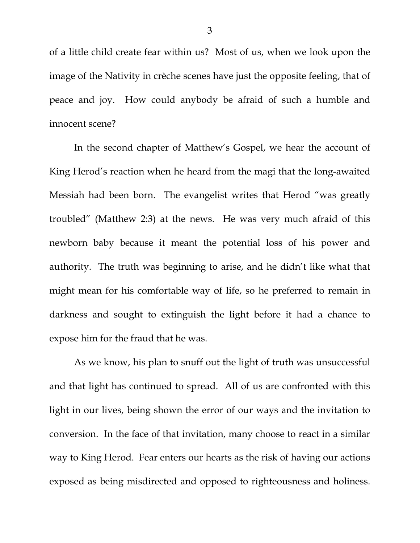of a little child create fear within us? Most of us, when we look upon the image of the Nativity in crèche scenes have just the opposite feeling, that of peace and joy. How could anybody be afraid of such a humble and innocent scene?

In the second chapter of Matthew's Gospel, we hear the account of King Herod's reaction when he heard from the magi that the long-awaited Messiah had been born. The evangelist writes that Herod "was greatly troubled" (Matthew 2:3) at the news. He was very much afraid of this newborn baby because it meant the potential loss of his power and authority. The truth was beginning to arise, and he didn't like what that might mean for his comfortable way of life, so he preferred to remain in darkness and sought to extinguish the light before it had a chance to expose him for the fraud that he was.

As we know, his plan to snuff out the light of truth was unsuccessful and that light has continued to spread. All of us are confronted with this light in our lives, being shown the error of our ways and the invitation to conversion. In the face of that invitation, many choose to react in a similar way to King Herod. Fear enters our hearts as the risk of having our actions exposed as being misdirected and opposed to righteousness and holiness.

3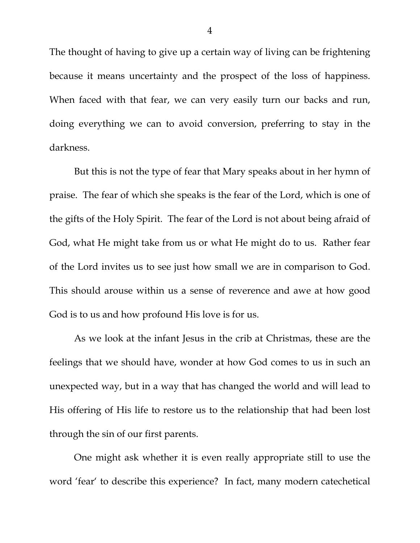The thought of having to give up a certain way of living can be frightening because it means uncertainty and the prospect of the loss of happiness. When faced with that fear, we can very easily turn our backs and run, doing everything we can to avoid conversion, preferring to stay in the darkness.

But this is not the type of fear that Mary speaks about in her hymn of praise. The fear of which she speaks is the fear of the Lord, which is one of the gifts of the Holy Spirit. The fear of the Lord is not about being afraid of God, what He might take from us or what He might do to us. Rather fear of the Lord invites us to see just how small we are in comparison to God. This should arouse within us a sense of reverence and awe at how good God is to us and how profound His love is for us.

As we look at the infant Jesus in the crib at Christmas, these are the feelings that we should have, wonder at how God comes to us in such an unexpected way, but in a way that has changed the world and will lead to His offering of His life to restore us to the relationship that had been lost through the sin of our first parents.

One might ask whether it is even really appropriate still to use the word 'fear' to describe this experience? In fact, many modern catechetical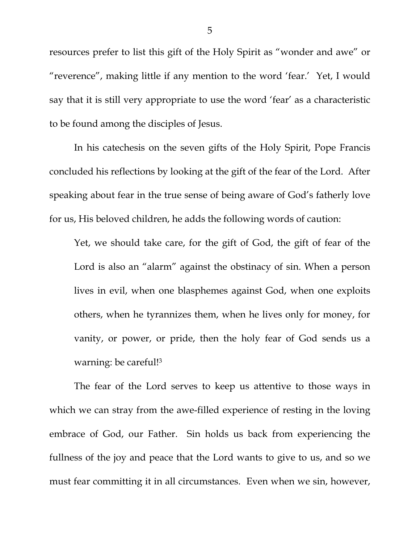resources prefer to list this gift of the Holy Spirit as "wonder and awe" or "reverence", making little if any mention to the word 'fear.' Yet, I would say that it is still very appropriate to use the word 'fear' as a characteristic to be found among the disciples of Jesus.

In his catechesis on the seven gifts of the Holy Spirit, Pope Francis concluded his reflections by looking at the gift of the fear of the Lord. After speaking about fear in the true sense of being aware of God's fatherly love for us, His beloved children, he adds the following words of caution:

Yet, we should take care, for the gift of God, the gift of fear of the Lord is also an "alarm" against the obstinacy of sin. When a person lives in evil, when one blasphemes against God, when one exploits others, when he tyrannizes them, when he lives only for money, for vanity, or power, or pride, then the holy fear of God sends us a warning: be careful!3

The fear of the Lord serves to keep us attentive to those ways in which we can stray from the awe-filled experience of resting in the loving embrace of God, our Father. Sin holds us back from experiencing the fullness of the joy and peace that the Lord wants to give to us, and so we must fear committing it in all circumstances. Even when we sin, however,

5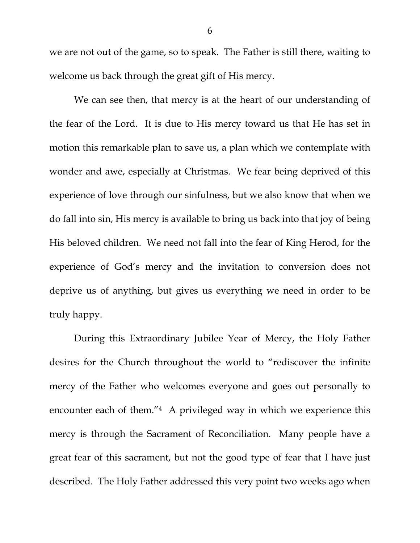we are not out of the game, so to speak. The Father is still there, waiting to welcome us back through the great gift of His mercy.

We can see then, that mercy is at the heart of our understanding of the fear of the Lord. It is due to His mercy toward us that He has set in motion this remarkable plan to save us, a plan which we contemplate with wonder and awe, especially at Christmas. We fear being deprived of this experience of love through our sinfulness, but we also know that when we do fall into sin, His mercy is available to bring us back into that joy of being His beloved children. We need not fall into the fear of King Herod, for the experience of God's mercy and the invitation to conversion does not deprive us of anything, but gives us everything we need in order to be truly happy.

During this Extraordinary Jubilee Year of Mercy, the Holy Father desires for the Church throughout the world to "rediscover the infinite mercy of the Father who welcomes everyone and goes out personally to encounter each of them."4 A privileged way in which we experience this mercy is through the Sacrament of Reconciliation. Many people have a great fear of this sacrament, but not the good type of fear that I have just described. The Holy Father addressed this very point two weeks ago when